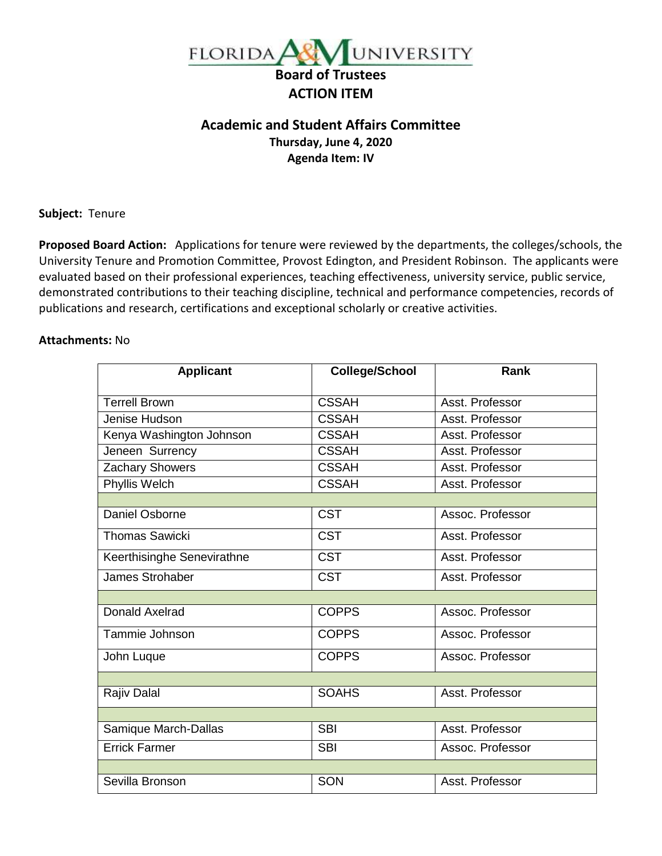

## **Academic and Student Affairs Committee Thursday, June 4, 2020 Agenda Item: IV**

**Subject:** Tenure

**Proposed Board Action:** Applications for tenure were reviewed by the departments, the colleges/schools, the University Tenure and Promotion Committee, Provost Edington, and President Robinson. The applicants were evaluated based on their professional experiences, teaching effectiveness, university service, public service, demonstrated contributions to their teaching discipline, technical and performance competencies, records of publications and research, certifications and exceptional scholarly or creative activities.

## **Attachments:** No

| <b>Applicant</b>           | <b>College/School</b> | Rank             |
|----------------------------|-----------------------|------------------|
| <b>Terrell Brown</b>       | <b>CSSAH</b>          | Asst. Professor  |
| Jenise Hudson              | <b>CSSAH</b>          | Asst. Professor  |
| Kenya Washington Johnson   | <b>CSSAH</b>          | Asst. Professor  |
| Jeneen Surrency            | <b>CSSAH</b>          | Asst. Professor  |
| Zachary Showers            | <b>CSSAH</b>          | Asst. Professor  |
| Phyllis Welch              | <b>CSSAH</b>          | Asst. Professor  |
|                            |                       |                  |
| Daniel Osborne             | <b>CST</b>            | Assoc. Professor |
| <b>Thomas Sawicki</b>      | <b>CST</b>            | Asst. Professor  |
| Keerthisinghe Senevirathne | <b>CST</b>            | Asst. Professor  |
| James Strohaber            | <b>CST</b>            | Asst. Professor  |
|                            |                       |                  |
| <b>Donald Axelrad</b>      | <b>COPPS</b>          | Assoc. Professor |
| Tammie Johnson             | <b>COPPS</b>          | Assoc. Professor |
| John Luque                 | <b>COPPS</b>          | Assoc. Professor |
|                            |                       |                  |
| Rajiv Dalal                | <b>SOAHS</b>          | Asst. Professor  |
|                            |                       |                  |
| Samique March-Dallas       | <b>SBI</b>            | Asst. Professor  |
| <b>Errick Farmer</b>       | <b>SBI</b>            | Assoc. Professor |
|                            |                       |                  |
| Sevilla Bronson            | SON                   | Asst. Professor  |